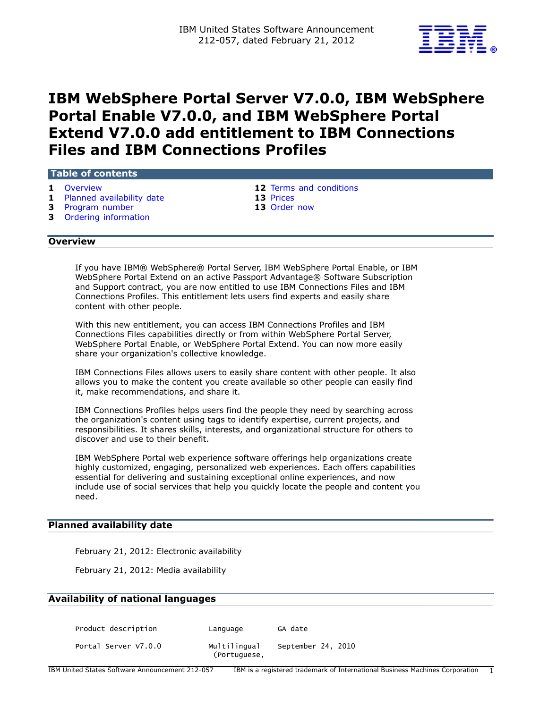

# **IBM WebSphere Portal Server V7.0.0, IBM WebSphere Portal Enable V7.0.0, and IBM WebSphere Portal Extend V7.0.0 add entitlement to IBM Connections Files and IBM Connections Profiles**

#### **Table of contents**

- **1** Planned availability date
- **3** [Program number](#page-2-0) **13** [Order now](#page-12-1)
- **3** [Ordering information](#page-2-1)

**1** [Overview](#page-0-0) **12** Terms and conditions<br> **12** Terms and conditions<br> **13** Prices

# <span id="page-0-0"></span>**Overview**

If you have IBM® WebSphere® Portal Server, IBM WebSphere Portal Enable, or IBM WebSphere Portal Extend on an active Passport Advantage® Software Subscription and Support contract, you are now entitled to use IBM Connections Files and IBM Connections Profiles. This entitlement lets users find experts and easily share content with other people.

With this new entitlement, you can access IBM Connections Profiles and IBM Connections Files capabilities directly or from within WebSphere Portal Server, WebSphere Portal Enable, or WebSphere Portal Extend. You can now more easily share your organization's collective knowledge.

IBM Connections Files allows users to easily share content with other people. It also allows you to make the content you create available so other people can easily find it, make recommendations, and share it.

IBM Connections Profiles helps users find the people they need by searching across the organization's content using tags to identify expertise, current projects, and responsibilities. It shares skills, interests, and organizational structure for others to discover and use to their benefit.

IBM WebSphere Portal web experience software offerings help organizations create highly customized, engaging, personalized web experiences. Each offers capabilities essential for delivering and sustaining exceptional online experiences, and now include use of social services that help you quickly locate the people and content you need.

#### <span id="page-0-1"></span>**Planned availability date**

February 21, 2012: Electronic availability

February 21, 2012: Media availability

#### **Availability of national languages**

Product description by Language GA date

Portal Server V7.0.0 Multilingual September 24, 2010

(Portuguese,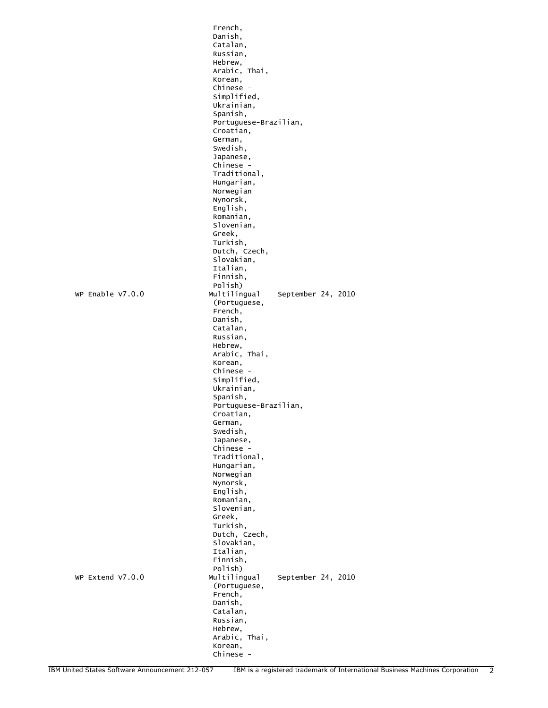|                  | French,                            |
|------------------|------------------------------------|
|                  | Danish,                            |
|                  | Catalan,                           |
|                  | Russian,                           |
|                  | Hebrew.                            |
|                  | Arabic, Thai,<br>Korean,           |
|                  | Chinese -                          |
|                  | Simplified,                        |
|                  | Ukrainian,                         |
|                  | Spanish,                           |
|                  | Portuguese-Brazilian,              |
|                  | Croatian,                          |
|                  | German,                            |
|                  | Swedish.                           |
|                  | Japanese,                          |
|                  | Chinese -                          |
|                  | Traditional,                       |
|                  | Hungarian,<br>Norwegian            |
|                  | Nynorsk,                           |
|                  | English,                           |
|                  | Romanian,                          |
|                  | Slovenian,                         |
|                  | Greek,                             |
|                  | Turkish,                           |
|                  | Dutch, Czech,                      |
|                  | slovakian.                         |
|                  | Italian.                           |
|                  | Finnish,<br>Polish)                |
| WP Enable V7.0.0 | Multilingual<br>September 24, 2010 |
|                  | (Portuguese,                       |
|                  | French,                            |
|                  | Danish,                            |
|                  | Catalan,                           |
|                  | Russian,                           |
|                  | Hebrew,                            |
|                  | Arabic, Thai,                      |
|                  | Korean,                            |
|                  | Chinese -<br>Simplified,           |
|                  | Ukrainian,                         |
|                  | Spanish,                           |
|                  | Portuguese-Brazilian,              |
|                  | Croatian,                          |
|                  | German,                            |
|                  | Swedish.                           |
|                  | Japanese,                          |
|                  | Chinese -                          |
|                  | Traditional,                       |
|                  | Hungarian,                         |
|                  |                                    |
|                  | Norwegian                          |
|                  | Nynorsk,                           |
|                  | English,                           |
|                  | Romanian,                          |
|                  | Slovenian,<br>Greek,               |
|                  | Turkish,                           |
|                  | Dutch, Czech,                      |
|                  | Slovakian,                         |
|                  | Italian,                           |
|                  | Finnish,                           |
|                  | Polish)                            |
| WP Extend V7.0.0 | Multilingual<br>September 24, 2010 |
|                  | (Portuguese,                       |
|                  | French,<br>Danish,                 |
|                  | Catalan,                           |
|                  | Russian,                           |
|                  | Hebrew,                            |
|                  | Arabic, Thai,                      |
|                  | Korean,<br>Chinese -               |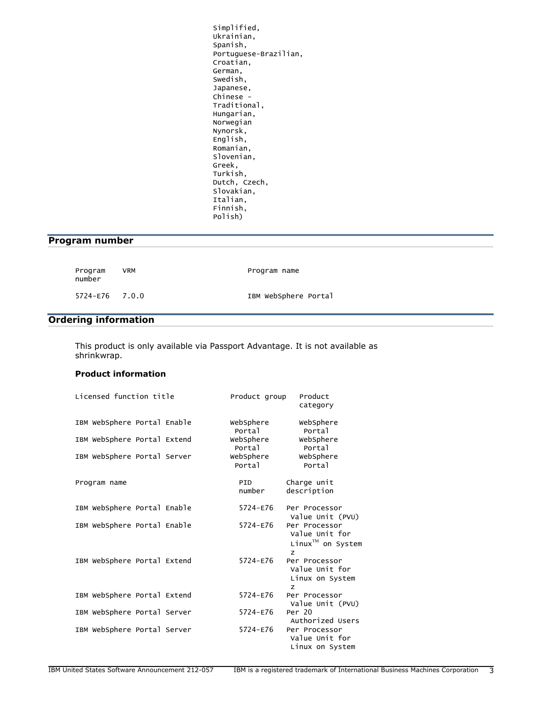Simplified, Ukrainian, Spanish, Portuguese-Brazilian, Croatian, German, Swedish, Japanese, Chinese - Traditional, Hungarian, Norwegian Nynorsk, English, Romanian, Slovenian, Greek, Turkish, Dutch, Czech, Slovakian, Italian, Finnish, Polish)

# <span id="page-2-0"></span>**Program number**

| Program<br>number | VRM | Program name         |
|-------------------|-----|----------------------|
| 5724-E76 7.0.0    |     | IBM WebSphere Portal |

# <span id="page-2-1"></span>**Ordering information**

This product is only available via Passport Advantage. It is not available as shrinkwrap.

## **Product information**

| Licensed function title     | Product group       | Product<br>category                                      |
|-----------------------------|---------------------|----------------------------------------------------------|
| IBM WebSphere Portal Enable | WebSphere<br>Portal | WebSphere<br>Portal                                      |
| IBM WebSphere Portal Extend | webSphere<br>Portal | webSphere<br>Portal                                      |
| IBM WebSphere Portal Server | webSphere<br>Portal | webSphere<br>Portal                                      |
| Program name                | PID<br>number       | Charge unit<br>description                               |
| IBM WebSphere Portal Enable | 5724-E76            | Per Processor<br>Value Unit (PVU)                        |
| IBM WebSphere Portal Enable | 5724-E76            | Per Processor<br>Value Unit for<br>Linux™ on System<br>z |
| IBM WebSphere Portal Extend | 5724-E76            | Per Processor<br>Value Unit for<br>Linux on System<br>z  |
| IBM WebSphere Portal Extend | $5724 - E76$        | Per Processor<br>Value Unit (PVU)                        |
| IBM WebSphere Portal Server | 5724-E76            | Per 20<br>Authorized Users                               |
| IBM WebSphere Portal Server | 5724-E76            | Per Processor<br>Value Unit for<br>Linux on System       |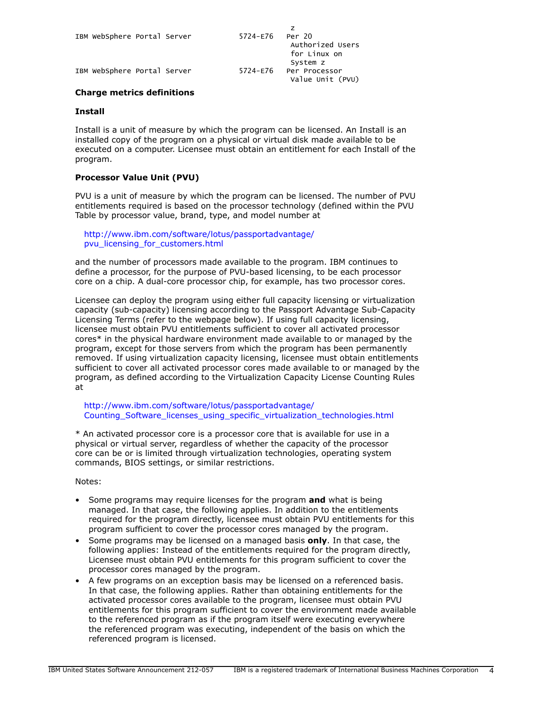| IBM WebSphere Portal Server |  | 5724-E76 | Per 20<br>Authorized Users<br>for Linux on<br>System z |
|-----------------------------|--|----------|--------------------------------------------------------|
| IBM WebSphere Portal Server |  | 5724-E76 | Per Processor<br>Value Unit (PVU)                      |

# **Charge metrics definitions**

#### **Install**

Install is a unit of measure by which the program can be licensed. An Install is an installed copy of the program on a physical or virtual disk made available to be executed on a computer. Licensee must obtain an entitlement for each Install of the program.

# **Processor Value Unit (PVU)**

PVU is a unit of measure by which the program can be licensed. The number of PVU entitlements required is based on the processor technology (defined within the PVU Table by processor value, brand, type, and model number at

[http://www.ibm.com/software/lotus/passportadvantage/](http://www.ibm.com/software/lotus/passportadvantage/pvu_licensing_for_customers.html) [pvu\\_licensing\\_for\\_customers.html](http://www.ibm.com/software/lotus/passportadvantage/pvu_licensing_for_customers.html)

and the number of processors made available to the program. IBM continues to define a processor, for the purpose of PVU-based licensing, to be each processor core on a chip. A dual-core processor chip, for example, has two processor cores.

Licensee can deploy the program using either full capacity licensing or virtualization capacity (sub-capacity) licensing according to the Passport Advantage Sub-Capacity Licensing Terms (refer to the webpage below). If using full capacity licensing, licensee must obtain PVU entitlements sufficient to cover all activated processor cores\* in the physical hardware environment made available to or managed by the program, except for those servers from which the program has been permanently removed. If using virtualization capacity licensing, licensee must obtain entitlements sufficient to cover all activated processor cores made available to or managed by the program, as defined according to the Virtualization Capacity License Counting Rules at

[http://www.ibm.com/software/lotus/passportadvantage/](http://www.ibm.com/software/lotus/passportadvantage/Counting_Software_licenses_using_specific_virtualization_technologies.html) [Counting\\_Software\\_licenses\\_using\\_specific\\_virtualization\\_technologies.html](http://www.ibm.com/software/lotus/passportadvantage/Counting_Software_licenses_using_specific_virtualization_technologies.html)

\* An activated processor core is a processor core that is available for use in a physical or virtual server, regardless of whether the capacity of the processor core can be or is limited through virtualization technologies, operating system commands, BIOS settings, or similar restrictions.

Notes:

- Some programs may require licenses for the program **and** what is being managed. In that case, the following applies. In addition to the entitlements required for the program directly, licensee must obtain PVU entitlements for this program sufficient to cover the processor cores managed by the program.
- Some programs may be licensed on a managed basis **only**. In that case, the following applies: Instead of the entitlements required for the program directly, Licensee must obtain PVU entitlements for this program sufficient to cover the processor cores managed by the program.
- A few programs on an exception basis may be licensed on a referenced basis. In that case, the following applies. Rather than obtaining entitlements for the activated processor cores available to the program, licensee must obtain PVU entitlements for this program sufficient to cover the environment made available to the referenced program as if the program itself were executing everywhere the referenced program was executing, independent of the basis on which the referenced program is licensed.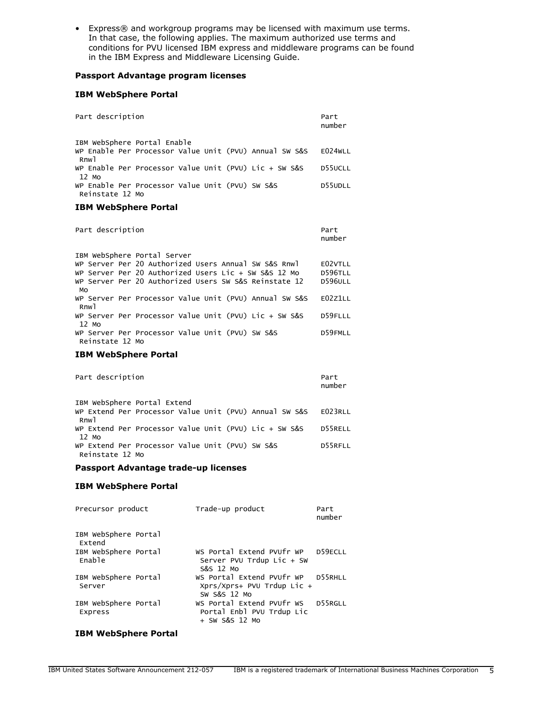• Express® and workgroup programs may be licensed with maximum use terms. In that case, the following applies. The maximum authorized use terms and conditions for PVU licensed IBM express and middleware programs can be found in the IBM Express and Middleware Licensing Guide.

#### **Passport Advantage program licenses**

#### **IBM WebSphere Portal**

| Part description                                                   |                  |                                                        | Part<br>number |
|--------------------------------------------------------------------|------------------|--------------------------------------------------------|----------------|
| IBM WebSphere Portal Enable                                        |                  |                                                        |                |
| Rnw <sub>1</sub>                                                   |                  | WP Enable Per Processor Value Unit (PVU) Annual SW S&S | E024WLL        |
| WP Enable Per Processor Value Unit (PVU) Lic + SW S&S<br>12 Mo     |                  |                                                        | D55UCLL        |
| WP Enable Per Processor Value Unit (PVU) SW S&S<br>Reinstate 12 Mo |                  |                                                        | D55UDLL        |
| <b>IBM WebSphere Portal</b>                                        |                  |                                                        |                |
|                                                                    |                  |                                                        |                |
| Part description                                                   |                  |                                                        | Part<br>number |
| IBM WebSphere Portal Server                                        |                  |                                                        |                |
| WP Server Per 20 Authorized Users Annual SW S&S Rnwl               |                  |                                                        | E02VTLL        |
| WP Server Per 20 Authorized Users Lic + SW S&S 12 Mo               |                  |                                                        | <b>D596TLL</b> |
| WP Server Per 20 Authorized Users SW S&S Reinstate 12<br>MO        |                  |                                                        | <b>D596ULL</b> |
| Rnw <sub>1</sub>                                                   |                  | WP Server Per Processor Value Unit (PVU) Annual SW S&S | E02Z1LL        |
| WP Server Per Processor Value Unit (PVU) Lic + SW S&S<br>12 Mo     |                  |                                                        | D59FLLL        |
| WP Server Per Processor Value Unit (PVU) SW S&S<br>Reinstate 12 Mo |                  |                                                        | D59FMLL        |
| <b>IBM WebSphere Portal</b>                                        |                  |                                                        |                |
|                                                                    |                  |                                                        |                |
| Part description                                                   |                  |                                                        | Part<br>number |
| IBM WebSphere Portal Extend                                        |                  |                                                        |                |
| Rnw <sub>1</sub>                                                   |                  | WP Extend Per Processor Value Unit (PVU) Annual SW S&S | E023RLL        |
| WP Extend Per Processor Value Unit (PVU) Lic + SW S&S<br>12 Mo     |                  |                                                        | D55RELL        |
| WP Extend Per Processor Value Unit (PVU) SW S&S<br>Reinstate 12 Mo |                  |                                                        | D55RFLL        |
| Passport Advantage trade-up licenses                               |                  |                                                        |                |
| <b>IBM WebSphere Portal</b>                                        |                  |                                                        |                |
|                                                                    |                  |                                                        |                |
| Precursor product                                                  | Trade-up product |                                                        | Part<br>number |

| IBM WebSphere Portal<br>Extend  |                                                                                   |         |
|---------------------------------|-----------------------------------------------------------------------------------|---------|
| IBM WebSphere Portal<br>Enable  | WS Portal Extend PVUfr WP<br>Server PVU Trdup Lic + SW<br>S&S 12 Mo               | D59ECLL |
| IBM WebSphere Portal<br>Server  | WS Portal Extend PVUfr WP D55RHLL<br>$Xprs/Xprs+ PVU Trdup Lic +$<br>SW S&S 12 MO |         |
| IBM WebSphere Portal<br>Express | WS Portal Extend PVUfr WS<br>Portal Enbl PVU Trdup Lic<br>$+$ SW S&S 12 Mo        | D55RGLL |

# **IBM WebSphere Portal**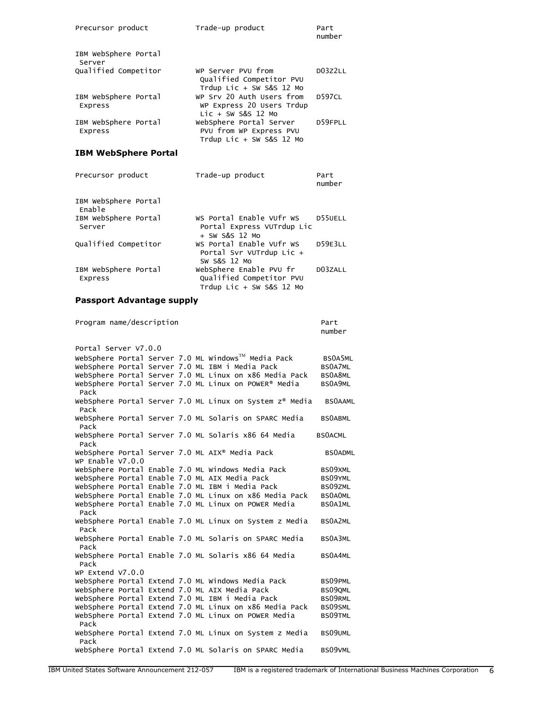| Precursor product               | Trade-up product                                                               | Part<br>number |
|---------------------------------|--------------------------------------------------------------------------------|----------------|
| IBM WebSphere Portal<br>Server  |                                                                                |                |
| Qualified Competitor            | WP Server PVU from<br>Qualified Competitor PVU<br>Trdup Lic + SW S&S 12 Mo     | D03Z2LL        |
| IBM WebSphere Portal<br>Express | WP Srv 20 Auth Users from<br>WP Express 20 Users Trdup<br>$Lie + SW S&S 12 Mo$ | D597CL         |
| IBM WebSphere Portal<br>Express | WebSphere Portal Server<br>PVU from WP Express PVU<br>Trdup Lic + SW S&S 12 Mo | D59FPLL        |
| <b>IBM WebSphere Portal</b>     |                                                                                |                |

| Precursor product               | Trade-up product                                                                | Part<br>number |
|---------------------------------|---------------------------------------------------------------------------------|----------------|
| IBM WebSphere Portal<br>Enable  |                                                                                 |                |
| IBM WebSphere Portal<br>Server  | WS Portal Enable VUfr WS<br>Portal Express VUTrdup Lic<br>+ SW S&S 12 MO        | D55UELL        |
| Qualified Competitor            | WS Portal Enable VUfr WS<br>Portal Svr VUTrdup Lic +<br>SW S&S 12 MO            | D59E3LL        |
| IBM WebSphere Portal<br>Express | WebSphere Enable PVU fr<br>Qualified Competitor PVU<br>Trdup Lic + SW S&S 12 Mo | D03ZALL        |

#### **Passport Advantage supply**

Program name/description example and part part number in the control of the control of the control of the control of the control of the control of the control of the control of the control of the control of the control of the control of the control of the control of th Portal Server V7.0.0 WebSphere Portal Server 7.0 ML Windows™ Media Pack BS0A5ML WebSphere Portal Server 7.0 ML IBM i Media Pack BS0A7ML WebSphere Portal Server 7.0 ML Linux on x86 Media Pack BS0A8ML WebSphere Portal Server 7.0 ML Linux on POWER® Media BS0A9ML Pack WebSphere Portal Server 7.0 ML Linux on System z® Media BS0AAML Pack WebSphere Portal Server 7.0 ML Solaris on SPARC Media BS0ABML Pack WebSphere Portal Server 7.0 ML Solaris x86 64 Media BS0ACML Pack WebSphere Portal Server 7.0 ML AIX® Media Pack BS0ADML WP Enable V7.0.0 WebSphere Portal Enable 7.0 ML Windows Media Pack BS09XML WebSphere Portal Enable 7.0 ML AIX Media Pack BS09YML<br>WebSphere Portal Enable 7.0 ML IBM i Media Pack BS09ZML WebSphere Portal Enable 7.0 ML IBM i Media Pack BS09ZML<br>WebSphere Portal Enable 7.0 ML Linux on x86 Media Pack BS0AOML WebSphere Portal Enable 7.0 ML Linux on x86 Media Pack WebSphere Portal Enable 7.0 ML Linux on POWER Media BS0A1ML Pack WebSphere Portal Enable 7.0 ML Linux on System z Media BS0A2ML Pack WebSphere Portal Enable 7.0 ML Solaris on SPARC Media BS0A3ML Pack WebSphere Portal Enable 7.0 ML Solaris x86 64 Media BS0A4ML Pack WP Extend V7.0.0 WebSphere Portal Extend 7.0 ML Windows Media Pack BS09PML<br>WebSphere Portal Extend 7.0 ML AIX Media Pack BS09QML WebSphere Portal Extend 7.0 ML AIX Media Pack WebSphere Portal Extend 7.0 ML IBM i Media Pack BS09RML WebSphere Portal Extend 7.0 ML Linux on x86 Media Pack BS09SML WebSphere Portal Extend 7.0 ML Linux on POWER Media BS09TML Pack WebSphere Portal Extend 7.0 ML Linux on System z Media BS09UML Pack WebSphere Portal Extend 7.0 ML Solaris on SPARC Media BS09VML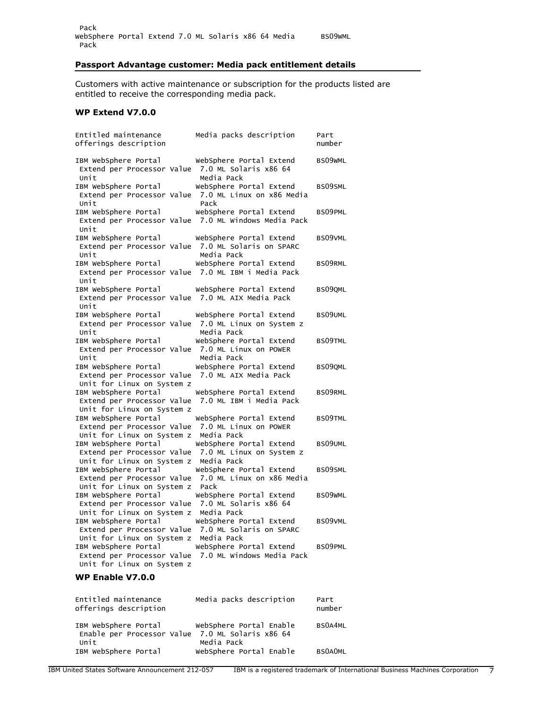# **Passport Advantage customer: Media pack entitlement details**

Customers with active maintenance or subscription for the products listed are entitled to receive the corresponding media pack.

# **WP Extend V7.0.0**

| Entitled maintenance<br>offerings description                                    | Media packs description                                                         | Part<br>number |
|----------------------------------------------------------------------------------|---------------------------------------------------------------------------------|----------------|
| IBM WebSphere Portal<br>Extend per Processor Value<br>Unit                       | WebSphere Portal Extend<br>7.0 ML Solaris x86 64<br>Media Pack                  | BS09WML        |
| IBM WebSphere Portal<br>Extend per Processor Value<br>Unit                       | WebSphere Portal Extend<br>7.0 ML Linux on x86 Media<br>Pack                    | BS09SML        |
| IBM WebSphere Portal<br>Unit                                                     | WebSphere Portal Extend<br>Extend per Processor Value 7.0 ML Windows Media Pack | BS09PML        |
| IBM WebSphere Portal<br>Extend per Processor Value<br>Unit                       | WebSphere Portal Extend<br>7.0 ML Solaris on SPARC<br>Media Pack                | BS09VML        |
| IBM WebSphere Portal<br>Extend per Processor Value<br>Unit                       | WebSphere Portal Extend<br>7.0 ML IBM i Media Pack                              | BS09RML        |
| IBM WebSphere Portal<br>Extend per Processor Value 7.0 ML AIX Media Pack<br>Unit | WebSphere Portal Extend                                                         | BS090ML        |
| IBM WebSphere Portal<br>Extend per Processor Value<br>Unit                       | WebSphere Portal Extend<br>7.0 ML Linux on System z<br>Media Pack               | BS09UML        |
| IBM WebSphere Portal<br>Extend per Processor Value<br>Unit                       | WebSphere Portal Extend<br>7.0 ML Linux on POWER<br>Media Pack                  | BS09TML        |
| IBM WebSphere Portal<br>Extend per Processor Value<br>Unit for Linux on System z | WebSphere Portal Extend<br>7.0 ML AIX Media Pack                                | BS09QML        |
| IBM WebSphere Portal<br>Extend per Processor Value<br>Unit for Linux on System z | WebSphere Portal Extend<br>7.0 ML IBM i Media Pack                              | BS09RML        |
| IBM WebSphere Portal<br>Extend per Processor Value<br>Unit for Linux on System z | WebSphere Portal Extend<br>7.0 ML Linux on POWER<br>Media Pack                  | BS09TML        |
| IBM WebSphere Portal<br>Extend per Processor Value<br>Unit for Linux on System z | WebSphere Portal Extend<br>7.0 ML Linux on System z<br>Media Pack               | BS09UML        |
| IBM WebSphere Portal<br>Extend per Processor Value<br>Unit for Linux on System z | WebSphere Portal Extend<br>7.0 ML Linux on x86 Media<br>Pack                    | BS09SML        |
| IBM WebSphere Portal<br>Extend per Processor Value<br>Unit for Linux on System z | WebSphere Portal Extend<br>7.0 ML Solaris x86 64<br>Media Pack                  | BS09WML        |
| IBM WebSphere Portal<br>Extend per Processor Value<br>Unit for Linux on System z | WebSphere Portal Extend<br>7.0 ML Solaris on SPARC<br>Media Pack                | BS09VML        |
| IBM WebSphere Portal<br>Extend per Processor Value<br>Unit for Linux on System z | WebSphere Portal Extend<br>7.0 ML Windows Media Pack                            | BS09PML        |

# **WP Enable V7.0.0**

| Entitled maintenance<br>offerings description                                    | Media packs description               | Part<br>number |
|----------------------------------------------------------------------------------|---------------------------------------|----------------|
| IBM WebSphere Portal<br>Enable per Processor Value 7.0 ML Solaris x86 64<br>Unit | WebSphere Portal Enable<br>Media Pack | BS0A4ML        |
| IBM WebSphere Portal                                                             | WebSphere Portal Enable               | <b>BSOAOML</b> |
|                                                                                  |                                       |                |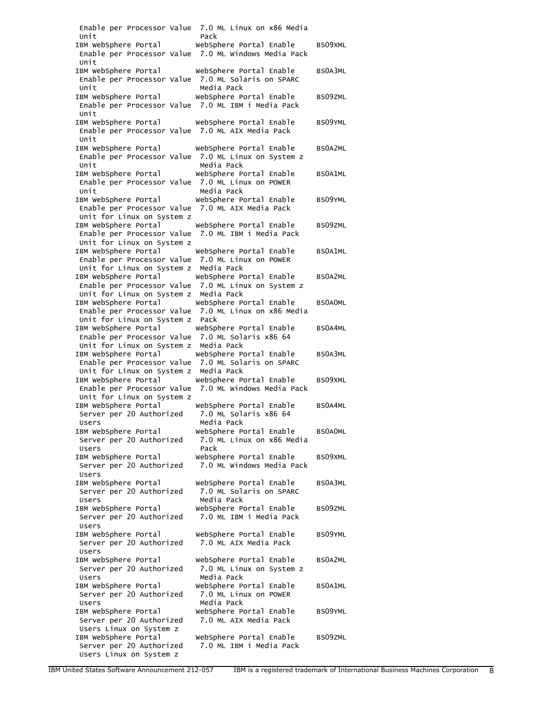|                                                     | Enable per Processor Value 7.0 ML Linux on x86 Media |                |
|-----------------------------------------------------|------------------------------------------------------|----------------|
| Unit                                                | Pack                                                 |                |
| IBM WebSphere Portal                                | WebSphere Portal Enable                              | BS09XML        |
|                                                     | Enable per Processor Value 7.0 ML Windows Media Pack |                |
| Unit                                                |                                                      |                |
| IBM WebSphere Portal                                | WebSphere Portal Enable                              | BS0A3ML        |
| Enable per Processor Value                          | 7.0 ML Solaris on SPARC                              |                |
| Unit                                                | Media Pack                                           |                |
| IBM WebSphere Portal                                | WebSphere Portal Enable                              | BS09ZML        |
| Enable per Processor Value 7.0 ML IBM i Media Pack  |                                                      |                |
| Unit                                                |                                                      |                |
| IBM WebSphere Portal                                | WebSphere Portal Enable                              | BS09YML        |
| Enable per Processor Value 7.0 ML AIX Media Pack    |                                                      |                |
| Unit                                                |                                                      |                |
| IBM WebSphere Portal                                | WebSphere Portal Enable                              | BS0A2ML        |
| Enable per Processor Value 7.0 ML Linux on System z |                                                      |                |
| Unit                                                | Media Pack                                           |                |
|                                                     |                                                      | BS0A1ML        |
| IBM WebSphere Portal                                | WebSphere Portal Enable                              |                |
| Enable per Processor Value                          | 7.0 ML Linux on POWER                                |                |
| Unit                                                | Media Pack                                           |                |
| IBM WebSphere Portal                                | WebSphere Portal Enable                              | BS09YML        |
| Enable per Processor Value                          | 7.0 ML AIX Media Pack                                |                |
| Unit for Linux on System z                          |                                                      |                |
| IBM WebSphere Portal                                | WebSphere Portal Enable                              | BS09ZML        |
| Enable per Processor Value                          | 7.0 ML IBM i Media Pack                              |                |
| Unit for Linux on System z                          |                                                      |                |
| IBM WebSphere Portal                                | WebSphere Portal Enable                              | BS0A1ML        |
| Enable per Processor Value                          | 7.0 ML Linux on POWER                                |                |
| Unit for Linux on System z                          | Media Pack                                           |                |
| IBM WebSphere Portal                                | WebSphere Portal Enable                              | BS0A2ML        |
|                                                     |                                                      |                |
| Enable per Processor Value                          | 7.0 ML Linux on System z                             |                |
| Unit for Linux on System z                          | Media Pack                                           |                |
| IBM WebSphere Portal                                | WebSphere Portal Enable                              | <b>BSOAOML</b> |
| Enable per Processor Value                          | 7.0 ML Linux on x86 Media                            |                |
| Unit for Linux on System z                          | Pack                                                 |                |
| IBM WebSphere Portal                                | WebSphere Portal Enable                              | BS0A4ML        |
| Enable per Processor Value                          | 7.0 ML Solaris x86 64                                |                |
| Unit for Linux on System z                          | Media Pack                                           |                |
| IBM WebSphere Portal                                | WebSphere Portal Enable                              | BS0A3ML        |
| Enable per Processor Value                          | 7.0 ML Solaris on SPARC                              |                |
| Unit for Linux on System z                          | Media Pack                                           |                |
| IBM WebSphere Portal                                | WebSphere Portal Enable                              | BS09XML        |
| Enable per Processor Value                          | 7.0 ML Windows Media Pack                            |                |
| Unit for Linux on System z                          |                                                      |                |
| IBM WebSphere Portal                                | WebSphere Portal Enable                              | BS0A4ML        |
|                                                     | 7.0 ML Solaris x86 64                                |                |
| Server per 20 Authorized                            |                                                      |                |
| Users                                               | Media Pack                                           |                |
| IBM WebSphere Portal                                | WebSphere Portal Enable                              | <b>BSOAOML</b> |
| Server per 20 Authorized                            | 7.0 ML Linux on x86 Media                            |                |
| Users                                               |                                                      |                |
| IBM WebSphere Portal                                | Pack                                                 |                |
|                                                     | WebSphere Portal Enable                              | BS09XML        |
| Server per 20 Authorized                            | 7.0 ML Windows Media Pack                            |                |
| Users                                               |                                                      |                |
|                                                     | WebSphere Portal Enable                              | BS0A3ML        |
| IBM WebSphere Portal                                |                                                      |                |
| Server per 20 Authorized                            | 7.0 ML Solaris on SPARC                              |                |
| Users                                               | Media Pack                                           |                |
| IBM WebSphere Portal                                | WebSphere Portal Enable                              | BS09ZML        |
| Server per 20 Authorized                            | 7.0 ML IBM i Media Pack                              |                |
| Users                                               |                                                      |                |
| IBM WebSphere Portal                                | WebSphere Portal Enable                              | BS09YML        |
| Server per 20 Authorized                            | 7.0 ML AIX Media Pack                                |                |
| Users                                               |                                                      |                |
| IBM WebSphere Portal                                | WebSphere Portal Enable                              | BS0A2ML        |
| Server per 20 Authorized                            | 7.0 ML Linux on System z                             |                |
| Users                                               | Media Pack                                           |                |
| IBM WebSphere Portal                                | WebSphere Portal Enable                              | BS0A1ML        |
| Server per 20 Authorized                            | 7.0 ML Linux on POWER                                |                |
| Users                                               | Media Pack                                           |                |
|                                                     |                                                      | BS09YML        |
| IBM WebSphere Portal                                | WebSphere Portal Enable                              |                |
| Server per 20 Authorized                            | 7.0 ML AIX Media Pack                                |                |
| Users Linux on System z                             |                                                      |                |
| IBM WebSphere Portal                                | WebSphere Portal Enable                              | BS09ZML        |
| Server per 20 Authorized<br>Users Linux on System z | 7.0 ML IBM i Media Pack                              |                |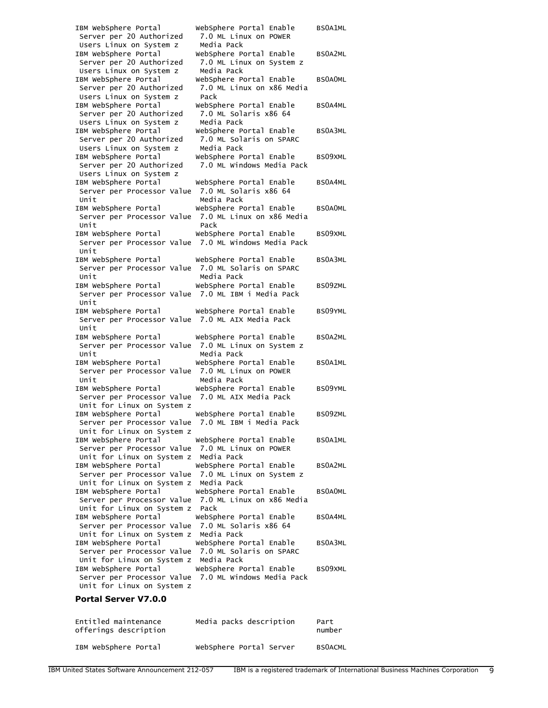| IBM WebSphere Portal<br>Server per 20 Authorized<br>Users Linux on System z                              | WebSphere Portal Enable<br>7.0 ML Linux on POWER<br>Media Pack                  | BS0A1ML        |
|----------------------------------------------------------------------------------------------------------|---------------------------------------------------------------------------------|----------------|
| IBM WebSphere Portal<br>Server per 20 Authorized<br>Users Linux on System z                              | WebSphere Portal Enable<br>7.0 ML Linux on System z<br>Media Pack               | BS0A2ML        |
| IBM WebSphere Portal<br>Server per 20 Authorized<br>Users Linux on System z                              | WebSphere Portal Enable<br>7.0 ML Linux on x86 Media<br>Pack                    | <b>BSOAOML</b> |
| IBM WebSphere Portal<br>Server per 20 Authorized<br>Users Linux on System z                              | WebSphere Portal Enable<br>7.0 ML Solaris x86 64<br>Media Pack                  | BS0A4ML        |
| IBM WebSphere Portal<br>Server per 20 Authorized<br>Users Linux on System z                              | WebSphere Portal Enable<br>7.0 ML Solaris on SPARC<br>Media Pack                | BS0A3ML        |
| IBM WebSphere Portal<br>Server per 20 Authorized<br>Users Linux on System z                              | WebSphere Portal Enable<br>7.0 ML Windows Media Pack                            | BS09XML        |
| IBM WebSphere Portal<br>Server per Processor Value<br>Unit                                               | WebSphere Portal Enable<br>7.0 ML Solaris x86 64<br>Media Pack                  | BS0A4ML        |
| IBM WebSphere Portal<br>Server per Processor Value<br>Unit                                               | WebSphere Portal Enable<br>7.0 ML Linux on x86 Media<br>Pack                    | <b>BSOAOML</b> |
| IBM WebSphere Portal<br>Unit                                                                             | WebSphere Portal Enable<br>Server per Processor Value 7.0 ML Windows Media Pack | BS09XML        |
| IBM WebSphere Portal<br>Server per Processor Value 7.0 ML Solaris on SPARC<br>Unit                       | WebSphere Portal Enable<br>Media Pack                                           | BS0A3ML        |
| IBM WebSphere Portal<br>Server per Processor Value 7.0 ML IBM i Media Pack<br>Unit                       | WebSphere Portal Enable                                                         | BS09ZML        |
| IBM WebSphere Portal<br>Server per Processor Value 7.0 ML AIX Media Pack<br>Unit                         | WebSphere Portal Enable                                                         | BS09YML        |
| IBM WebSphere Portal<br>Server per Processor Value<br>Unit                                               | WebSphere Portal Enable<br>7.0 ML Linux on System z<br>Media Pack               | BS0A2ML        |
| IBM WebSphere Portal<br>Server per Processor Value<br>Unit                                               | WebSphere Portal Enable<br>7.0 ML Linux on POWER<br>Media Pack                  | <b>BSOA1ML</b> |
| IBM WebSphere Portal<br>Server per Processor Value<br>Unit for Linux on System z                         | WebSphere Portal Enable<br>7.0 ML AIX Media Pack                                | BS09YML        |
| IBM WebSphere Portal<br>Server per Processor Value 7.0 ML IBM i Media Pack<br>Unit for Linux on System z | WebSphere Portal Enable                                                         | BS09ZML        |
| IBM WebSphere Portal<br>Server per Processor Value 7.0 ML Linux on POWER<br>Unit for Linux on System z   | WebSphere Portal Enable<br>Media Pack                                           | BS0A1ML        |
| IBM WebSphere Portal<br>Server per Processor Value<br>Unit for Linux on System z                         | WebSphere Portal Enable<br>7.0 ML Linux on System z<br>Media Pack               | BS0A2ML        |
| IBM WebSphere Portal<br>Server per Processor Value<br>Unit for Linux on System z                         | WebSphere Portal Enable<br>7.0 ML Linux on x86 Media<br>Pack                    | <b>BSOAOML</b> |
| IBM WebSphere Portal<br>Server per Processor Value<br>Unit for Linux on System z                         | WebSphere Portal Enable<br>7.0 ML Solaris x86 64<br>Media Pack                  | BS0A4ML        |
| IBM WebSphere Portal<br>Server per Processor Value<br>Unit for Linux on System z                         | WebSphere Portal Enable<br>7.0 ML Solaris on SPARC<br>Media Pack                | BS0A3ML        |
| IBM WebSphere Portal<br>Server per Processor Value<br>Unit for Linux on System z                         | WebSphere Portal Enable<br>7.0 ML Windows Media Pack                            | BS09XML        |

# **Portal Server V7.0.0**

| Entitled maintenance<br>offerings description | Media packs description | Part<br>number |
|-----------------------------------------------|-------------------------|----------------|
| IBM WebSphere Portal                          | WebSphere Portal Server | <b>BSOACML</b> |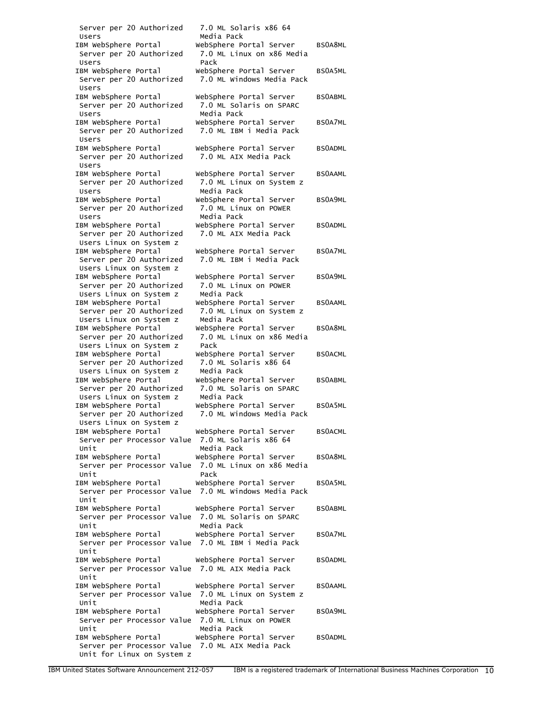| Server per 20 Authorized                             | 7.0 ML Solaris x86 64                                |                |
|------------------------------------------------------|------------------------------------------------------|----------------|
| Users                                                | Media Pack                                           |                |
| IBM WebSphere Portal                                 | WebSphere Portal Server                              | BS0A8ML        |
| Server per 20 Authorized                             | 7.0 ML Linux on x86 Media                            |                |
| Users                                                | Pack                                                 |                |
| IBM WebSphere Portal                                 | WebSphere Portal Server                              | BS0A5ML        |
| Server per 20 Authorized                             | 7.0 ML Windows Media Pack                            |                |
| Users                                                |                                                      |                |
| IBM WebSphere Portal                                 | WebSphere Portal Server                              | <b>BSOABML</b> |
| Server per 20 Authorized                             | 7.0 ML Solaris on SPARC                              |                |
| Users                                                | Media Pack                                           |                |
| IBM WebSphere Portal                                 | WebSphere Portal Server                              | BS0A7ML        |
| Server per 20 Authorized                             | 7.0 ML IBM i Media Pack                              |                |
| Users                                                |                                                      |                |
| IBM WebSphere Portal                                 | WebSphere Portal Server                              | <b>BSOADML</b> |
| Server per 20 Authorized                             | 7.0 ML AIX Media Pack                                |                |
| Users                                                |                                                      |                |
| IBM WebSphere Portal                                 | WebSphere Portal Server                              | <b>BSOAAML</b> |
|                                                      |                                                      |                |
| Server per 20 Authorized                             | 7.0 ML Linux on System z                             |                |
| Users                                                | Media Pack                                           |                |
| IBM WebSphere Portal                                 | WebSphere Portal Server                              | BS0A9ML        |
| Server per 20 Authorized                             | 7.0 ML Linux on POWER                                |                |
| Users                                                | Media Pack                                           |                |
| IBM WebSphere Portal                                 | WebSphere Portal Server                              | <b>BSOADML</b> |
| Server per 20 Authorized                             | 7.0 ML AIX Media Pack                                |                |
| Users Linux on System z                              |                                                      |                |
| IBM WebSphere Portal                                 | WebSphere Portal Server                              | BS0A7ML        |
| Server per 20 Authorized                             | 7.0 ML IBM i Media Pack                              |                |
| Users Linux on System z                              |                                                      |                |
| IBM WebSphere Portal                                 | WebSphere Portal Server                              | BS0A9ML        |
|                                                      | 7.0 ML Linux on POWER                                |                |
| Server per 20 Authorized                             |                                                      |                |
| Users Linux on System z                              | Media Pack                                           |                |
| IBM WebSphere Portal                                 | WebSphere Portal Server                              | <b>BSOAAML</b> |
| Server per 20 Authorized                             | 7.0 ML Linux on System z                             |                |
| Users Linux on System z                              | Media Pack                                           |                |
| IBM WebSphere Portal                                 | WebSphere Portal Server                              | BS0A8ML        |
| Server per 20 Authorized                             | 7.0 ML Linux on x86 Media                            |                |
| Users Linux on System z                              | Pack                                                 |                |
| IBM WebSphere Portal                                 | WebSphere Portal Server                              | <b>BSOACML</b> |
| Server per 20 Authorized                             | 7.0 ML Solaris x86 64                                |                |
| Users Linux on System z                              | Media Pack                                           |                |
| IBM WebSphere Portal                                 | WebSphere Portal Server                              | <b>BSOABML</b> |
| Server per 20 Authorized                             | 7.0 ML Solaris on SPARC                              |                |
| Users Linux on System z                              | Media Pack                                           |                |
| IBM WebSphere Portal                                 | WebSphere Portal Server                              | BS0A5ML        |
|                                                      |                                                      |                |
| Server per 20 Authorized                             | 7.0 ML Windows Media Pack                            |                |
| Users Linux on System z                              |                                                      |                |
| IBM WebSphere Portal                                 | WebSphere Portal Server                              | <b>BSOACML</b> |
| Server per Processor Value 7.0 ML Solaris x86 64     |                                                      |                |
| Unit                                                 | Media Pack                                           |                |
| IBM WebSphere Portal                                 | WebSphere Portal Server                              | BS0A8ML        |
|                                                      | Server per Processor Value 7.0 ML Linux on x86 Media |                |
| Unit                                                 | Pack                                                 |                |
|                                                      |                                                      | BS0A5ML        |
|                                                      | Server per Processor Value 7.0 ML Windows Media Pack |                |
| Unit                                                 |                                                      |                |
| IBM WebSphere Portal                                 | WebSphere Portal Server                              | <b>BSOABML</b> |
| Server per Processor Value 7.0 ML Solaris on SPARC   |                                                      |                |
| Unit                                                 | Media Pack                                           |                |
| IBM WebSphere Portal         WebSphere Portal Server |                                                      | BS0A7ML        |
|                                                      |                                                      |                |
| Server per Processor Value 7.0 ML IBM i Media Pack   |                                                      |                |
| Unit                                                 |                                                      |                |
| IBM WebSphere Portal                                 | WebSphere Portal Server                              | <b>BSOADML</b> |
| Server per Processor Value 7.0 ML AIX Media Pack     |                                                      |                |
| Unit                                                 |                                                      |                |
| IBM WebSphere Portal                                 | WebSphere Portal Server                              | <b>BSOAAML</b> |
| Server per Processor Value 7.0 ML Linux on System z  |                                                      |                |
| Unit                                                 | Media Pack                                           |                |
| IBM WebSphere Portal                                 | WebSphere Portal Server                              | BS0A9ML        |
| Server per Processor Value 7.0 ML Linux on POWER     |                                                      |                |
| Unit                                                 | Media Pack                                           |                |
| IBM WebSphere Portal WebSphere Portal Server         |                                                      | <b>BSOADML</b> |
| Server per Processor Value 7.0 ML AIX Media Pack     |                                                      |                |
| Unit for Linux on System z                           |                                                      |                |
|                                                      |                                                      |                |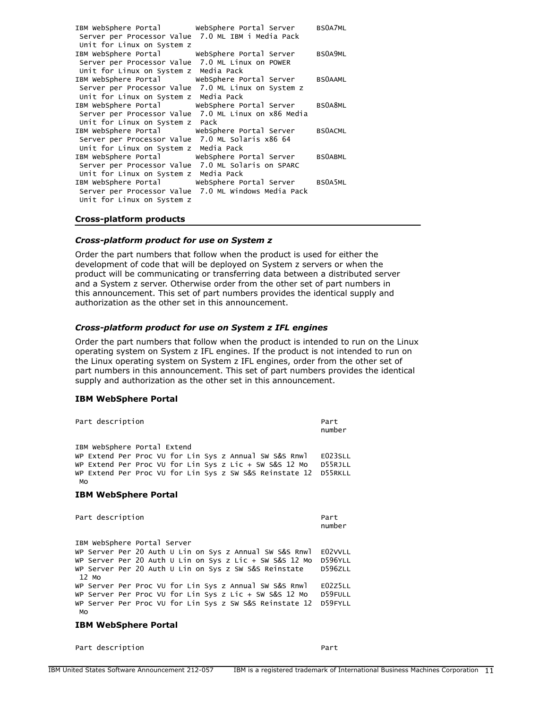|                                                        |                                                      | BS0A7ML        |
|--------------------------------------------------------|------------------------------------------------------|----------------|
| Server per Processor Value 7.0 ML IBM i Media Pack     |                                                      |                |
| Unit for Linux on System z                             |                                                      |                |
| IBM WebSphere Portal buebSphere Portal Server          |                                                      | BS0A9ML        |
| Server per Processor Value 7.0 ML Linux on POWER       |                                                      |                |
| Unit for Linux on System z Media Pack                  |                                                      |                |
|                                                        | IBM WebSphere Portal WebSphere Portal Server BSOAAML |                |
| Server per Processor Value 7.0 ML Linux on System z    |                                                      |                |
| Unit for Linux on System z Media Pack                  |                                                      |                |
| IBM WebSphere Portal                                   | WebSphere Portal Server BS0A8ML                      |                |
|                                                        | Server per Processor Value 7.0 ML Linux on x86 Media |                |
| Unit for Linux on System z Pack                        |                                                      |                |
| IBM WebSphere Portal                                   | WebSphere Portal Server                              | <b>BSOACML</b> |
| Server per Processor Value 7.0 ML Solaris x86 64       |                                                      |                |
| Unit for Linux on System z Media Pack                  |                                                      |                |
| IBM WebSphere Portal           WebSphere Portal Server |                                                      | <b>BSOABML</b> |
| Server per Processor Value 7.0 ML Solaris on SPARC     |                                                      |                |
| Unit for Linux on System z Media Pack                  |                                                      |                |
| IBM WebSphere Portal           WebSphere Portal Server |                                                      | BS0A5ML        |
|                                                        | Server per Processor Value 7.0 ML Windows Media Pack |                |
| Unit for Linux on System z                             |                                                      |                |

#### **Cross-platform products**

#### *Cross-platform product for use on System z*

Order the part numbers that follow when the product is used for either the development of code that will be deployed on System z servers or when the product will be communicating or transferring data between a distributed server and a System z server. Otherwise order from the other set of part numbers in this announcement. This set of part numbers provides the identical supply and authorization as the other set in this announcement.

#### *Cross-platform product for use on System z IFL engines*

Order the part numbers that follow when the product is intended to run on the Linux operating system on System z IFL engines. If the product is not intended to run on the Linux operating system on System z IFL engines, order from the other set of part numbers in this announcement. This set of part numbers provides the identical supply and authorization as the other set in this announcement.

#### **IBM WebSphere Portal**

| Part description                                                                                                                                                                                                 | Part<br>number                |
|------------------------------------------------------------------------------------------------------------------------------------------------------------------------------------------------------------------|-------------------------------|
| IBM WebSphere Portal Extend<br>WP Extend Per Proc VU for Lin Sys z Annual SW S&S Rnwl<br>WP Extend Per Proc VU for Lin Sys z Lic + SW S&S 12 Mo<br>WP Extend Per Proc VU for Lin Sys z SW S&S Reinstate 12<br>Mo | E023SLL<br>D55RJLL<br>D55RKLL |
| <b>IBM WebSphere Portal</b>                                                                                                                                                                                      |                               |
| Part description                                                                                                                                                                                                 | Part<br>number                |
|                                                                                                                                                                                                                  |                               |
|                                                                                                                                                                                                                  |                               |
| IBM WebSphere Portal Server<br>WP Server Per 20 Auth U Lin on Sys z Annual SW S&S Rnwl E02VVLL                                                                                                                   |                               |
| WP Server Per 20 Auth U Lin on Sys z Lic + SW S&S 12 Mo                                                                                                                                                          | D596YLL                       |
|                                                                                                                                                                                                                  | <b>D596ZLL</b>                |
| 12 Mo                                                                                                                                                                                                            | E02Z5LL                       |
| WP Server Per 20 Auth U Lin on Sys z SW S&S Reinstate<br>WP Server Per Proc VU for Lin Sys z Annual SW S&S Rnwl<br>WP Server Per Proc VU for Lin Sys z Lic + SW S&S 12 Mo                                        | D59FULL                       |

#### Mo

#### **IBM WebSphere Portal**

Part description extended to the Part Part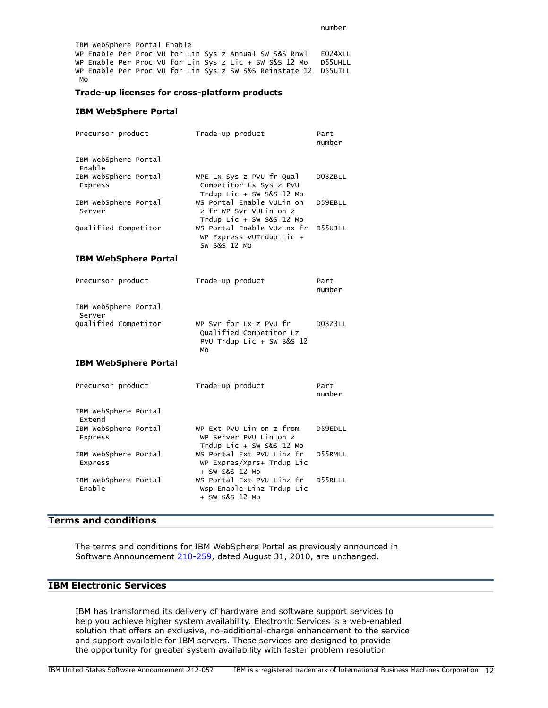IBM WebSphere Portal Enable WP Enable Per Proc VU for Lin Sys z Annual SW S&S Rnwl E024XLL WP Enable Per Proc VU for Lin Sys z Lic + SW S&S 12 Mo D55UHLL WP Enable Per Proc VU for Lin Sys z SW S&S Reinstate 12 D55UILL Mo

#### **Trade-up licenses for cross-platform products**

#### **IBM WebSphere Portal**

| Precursor product               | Trade-up product                                                                     | Part<br>number |
|---------------------------------|--------------------------------------------------------------------------------------|----------------|
| IBM WebSphere Portal<br>Enable  |                                                                                      |                |
| IBM WebSphere Portal<br>Express | WPE Lx Sys z PVU fr Qual<br>Competitor Lx Sys z PVU<br>Trdup Lic + SW S&S 12 Mo      | D03ZBLL        |
| IBM WebSphere Portal<br>Server  | WS Portal Enable VULin on<br>z fr WP Svr VULin on z<br>Trdup Lic + SW S&S 12 Mo      | D59EBLL        |
| Qualified Competitor            | WS Portal Enable VUzLnx fr<br>WP Express VUTrdup Lic +<br>SW S&S 12 Mo               | D55UJLL        |
| <b>IBM WebSphere Portal</b>     |                                                                                      |                |
| Precursor product               | Trade-up product                                                                     | Part<br>number |
| IBM WebSphere Portal<br>Server  |                                                                                      |                |
| Qualified Competitor            | WP Svr for Lx z PVU fr<br>Qualified Competitor Lz<br>PVU Trdup Lic + SW S&S 12<br>MO | D03Z3LL        |
| <b>IBM WebSphere Portal</b>     |                                                                                      |                |
| Precursor product               | Trade-up product                                                                     | Part<br>number |
| IBM WebSphere Portal<br>Extend  |                                                                                      |                |
| IBM WebSphere Portal<br>Express | WP Ext PVU Lin on z from<br>WP Server PVU Lin on z<br>Trdup Lic + SW S&S $12$ Mo     | D59EDLL        |
| IBM WebSphere Portal<br>Express | WS Portal Ext PVU Linz fr<br>WP Expres/Xprs+ Trdup Lic<br>+ SW S&S 12 Mo             | D55RMLL        |
| IBM WebSphere Portal<br>Enable  | WS Portal Ext PVU Linz fr<br>Wsp Enable Linz Trdup Lic<br>+ SW S&S 12 Mo             | D55RLLL        |

# <span id="page-11-0"></span>**Terms and conditions**

The terms and conditions for IBM WebSphere Portal as previously announced in Software Announcement [210-259,](http://www.ibm.com/common/ssi/cgi-bin/ssialias?infotype=an&subtype=ca&appname=gpateam&supplier=897&letternum=ENUS210-259) dated August 31, 2010, are unchanged.

# **IBM Electronic Services**

IBM has transformed its delivery of hardware and software support services to help you achieve higher system availability. Electronic Services is a web-enabled solution that offers an exclusive, no-additional-charge enhancement to the service and support available for IBM servers. These services are designed to provide the opportunity for greater system availability with faster problem resolution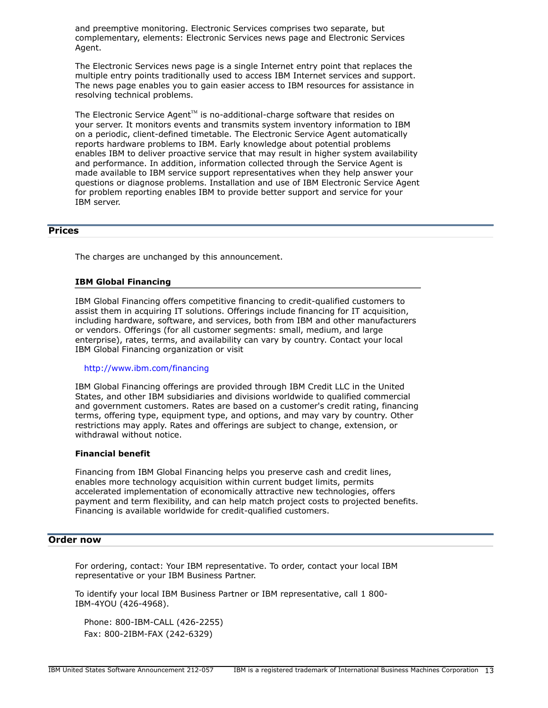and preemptive monitoring. Electronic Services comprises two separate, but complementary, elements: Electronic Services news page and Electronic Services Agent.

The Electronic Services news page is a single Internet entry point that replaces the multiple entry points traditionally used to access IBM Internet services and support. The news page enables you to gain easier access to IBM resources for assistance in resolving technical problems.

The Electronic Service Agent<sup> $M$ </sup> is no-additional-charge software that resides on your server. It monitors events and transmits system inventory information to IBM on a periodic, client-defined timetable. The Electronic Service Agent automatically reports hardware problems to IBM. Early knowledge about potential problems enables IBM to deliver proactive service that may result in higher system availability and performance. In addition, information collected through the Service Agent is made available to IBM service support representatives when they help answer your questions or diagnose problems. Installation and use of IBM Electronic Service Agent for problem reporting enables IBM to provide better support and service for your IBM server.

# <span id="page-12-0"></span>**Prices**

The charges are unchanged by this announcement.

#### **IBM Global Financing**

IBM Global Financing offers competitive financing to credit-qualified customers to assist them in acquiring IT solutions. Offerings include financing for IT acquisition, including hardware, software, and services, both from IBM and other manufacturers or vendors. Offerings (for all customer segments: small, medium, and large enterprise), rates, terms, and availability can vary by country. Contact your local IBM Global Financing organization or visit

#### <http://www.ibm.com/financing>

IBM Global Financing offerings are provided through IBM Credit LLC in the United States, and other IBM subsidiaries and divisions worldwide to qualified commercial and government customers. Rates are based on a customer's credit rating, financing terms, offering type, equipment type, and options, and may vary by country. Other restrictions may apply. Rates and offerings are subject to change, extension, or withdrawal without notice.

#### **Financial benefit**

Financing from IBM Global Financing helps you preserve cash and credit lines, enables more technology acquisition within current budget limits, permits accelerated implementation of economically attractive new technologies, offers payment and term flexibility, and can help match project costs to projected benefits. Financing is available worldwide for credit-qualified customers.

# <span id="page-12-1"></span>**Order now**

For ordering, contact: Your IBM representative. To order, contact your local IBM representative or your IBM Business Partner.

To identify your local IBM Business Partner or IBM representative, call 1 800- IBM-4YOU (426-4968).

Phone: 800-IBM-CALL (426-2255) Fax: 800-2IBM-FAX (242-6329)